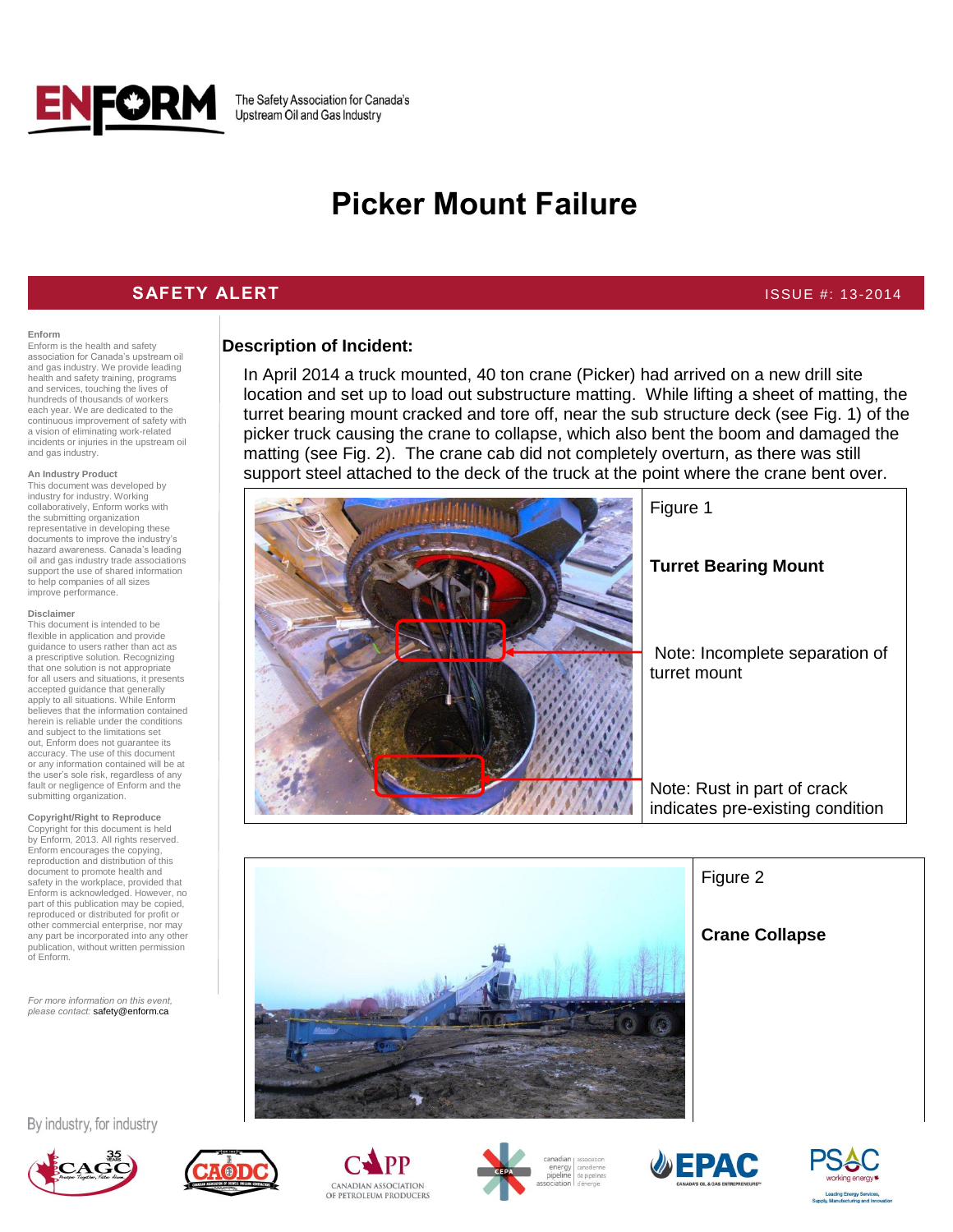

The Safety Association for Canada's Upstream Oil and Gas Industry

# **Picker Mount Failure**

## **SAFETY ALERT ISSUE #: 13-2014**

#### **Enform**

Enform is the health and safety association for Canada's upstream oil and gas industry. We provide leading health and safety training, programs and services, touching the lives of hundreds of thousands of workers each year. We are dedicated to the continuous improvement of safety with a vision of eliminating work-related incidents or injuries in the upstream oil and gas industry.

#### **An Industry Product**

This document was developed by industry for industry. Working collaboratively, Enform works with the submitting organization representative in developing these documents to improve the industry's hazard awareness. Canada's leading oil and gas industry trade associations support the use of shared information to help companies of all sizes improve performance.

#### **Disclaimer**

This document is intended to be flexible in application and provide guidance to users rather than act as a prescriptive solution. Recognizing that one solution is not appropriate for all users and situations, it presents accepted guidance that generally apply to all situations. While Enform believes that the information contained herein is reliable under the conditions and subject to the limitations set out, Enform does not guarantee its accuracy. The use of this document or any information contained will be at the user's sole risk, regardless of any fault or negligence of Enform and the submitting organization.

### **Copyright/Right to Reproduce** Copyright for this document is held by Enform, 2013. All rights reserved. Enform encourages the copying,

reproduction and distribution of this document to promote health and safety in the workplace, provided that Enform is acknowledged. However, no part of this publication may be copied, reproduced or distributed for profit or other commercial enterprise, nor may any part be incorporated into any other publication, without written permission of Enform.

*For more information on this event, please contact:* safety@enform.ca

# **Description of Incident:**

In April 2014 a truck mounted, 40 ton crane (Picker) had arrived on a new drill site location and set up to load out substructure matting. While lifting a sheet of matting, the turret bearing mount cracked and tore off, near the sub structure deck (see Fig. 1) of the picker truck causing the crane to collapse, which also bent the boom and damaged the matting (see Fig. 2). The crane cab did not completely overturn, as there was still support steel attached to the deck of the truck at the point where the crane bent over.





Figure 2

# **Crane Collapse**

By industry, for industry